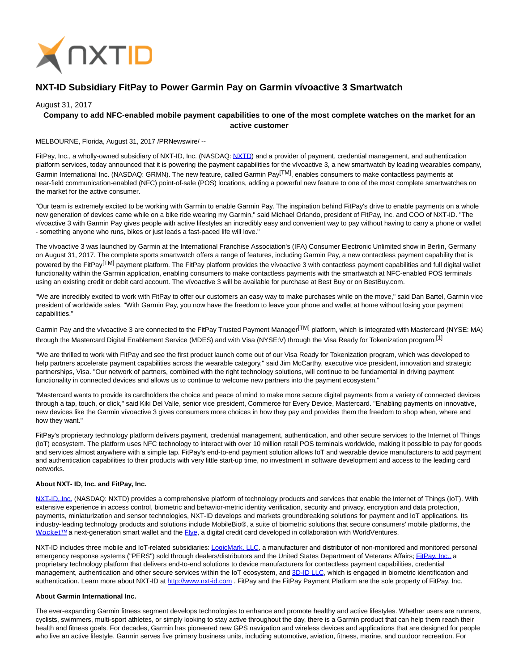

# **NXT-ID Subsidiary FitPay to Power Garmin Pay on Garmin vívoactive 3 Smartwatch**

### August 31, 2017

## **Company to add NFC-enabled mobile payment capabilities to one of the most complete watches on the market for an active customer**

#### MELBOURNE, Florida, August 31, 2017 /PRNewswire/ --

FitPay, Inc., a wholly-owned subsidiary of NXT-ID, Inc. (NASDAQ[: NXTD\)](https://finance.yahoo.com/q?s=nxtd) and a provider of payment, credential management, and authentication platform services, today announced that it is powering the payment capabilities for the vívoactive 3, a new smartwatch by leading wearables company, Garmin International Inc. (NASDAQ: GRMN). The new feature, called Garmin Pay<sup>[TM]</sup>, enables consumers to make contactless payments at near-field communication-enabled (NFC) point-of-sale (POS) locations, adding a powerful new feature to one of the most complete smartwatches on the market for the active consumer.

"Our team is extremely excited to be working with Garmin to enable Garmin Pay. The inspiration behind FitPay's drive to enable payments on a whole new generation of devices came while on a bike ride wearing my Garmin," said Michael Orlando, president of FitPay, Inc. and COO of NXT-ID. "The vívoactive 3 with Garmin Pay gives people with active lifestyles an incredibly easy and convenient way to pay without having to carry a phone or wallet - something anyone who runs, bikes or just leads a fast-paced life will love."

The vívoactive 3 was launched by Garmin at the International Franchise Association's (IFA) Consumer Electronic Unlimited show in Berlin, Germany on August 31, 2017. The complete sports smartwatch offers a range of features, including Garmin Pay, a new contactless payment capability that is powered by the FitPay<sup>[TM]</sup> payment platform. The FitPay platform provides the vívoactive 3 with contactless payment capabilities and full digital wallet functionality within the Garmin application, enabling consumers to make contactless payments with the smartwatch at NFC-enabled POS terminals using an existing credit or debit card account. The vívoactive 3 will be available for purchase at Best Buy or on BestBuy.com.

"We are incredibly excited to work with FitPay to offer our customers an easy way to make purchases while on the move," said Dan Bartel, Garmin vice president of worldwide sales. "With Garmin Pay, you now have the freedom to leave your phone and wallet at home without losing your payment capabilities."

Garmin Pay and the vívoactive 3 are connected to the FitPay Trusted Payment Manager<sup>[TM]</sup> platform, which is integrated with Mastercard (NYSE: MA) through the Mastercard Digital Enablement Service (MDES) and with Visa (NYSE:V) through the Visa Ready for Tokenization program.<sup>[1]</sup>

"We are thrilled to work with FitPay and see the first product launch come out of our Visa Ready for Tokenization program, which was developed to help partners accelerate payment capabilities across the wearable category," said Jim McCarthy, executive vice president, innovation and strategic partnerships, Visa. "Our network of partners, combined with the right technology solutions, will continue to be fundamental in driving payment functionality in connected devices and allows us to continue to welcome new partners into the payment ecosystem."

"Mastercard wants to provide its cardholders the choice and peace of mind to make more secure digital payments from a variety of connected devices through a tap, touch, or click," said Kiki Del Valle, senior vice president, Commerce for Every Device, Mastercard. "Enabling payments on innovative, new devices like the Garmin vívoactive 3 gives consumers more choices in how they pay and provides them the freedom to shop when, where and how they want."

FitPay's proprietary technology platform delivers payment, credential management, authentication, and other secure services to the Internet of Things (IoT) ecosystem. The platform uses NFC technology to interact with over 10 million retail POS terminals worldwide, making it possible to pay for goods and services almost anywhere with a simple tap. FitPay's end-to-end payment solution allows IoT and wearable device manufacturers to add payment and authentication capabilities to their products with very little start-up time, no investment in software development and access to the leading card networks.

#### **About NXT- ID, Inc. and FitPay, Inc.**

[NXT-ID, Inc. \(](http://www.nxt-id.com/)NASDAQ: NXTD) provides a comprehensive platform of technology products and services that enable the Internet of Things (IoT). With extensive experience in access control, biometric and behavior-metric identity verification, security and privacy, encryption and data protection, payments, miniaturization and sensor technologies, NXT-ID develops and markets groundbreaking solutions for payment and IoT applications. Its industry-leading technology products and solutions include MobileBio®, a suite of biometric solutions that secure consumers' mobile platforms, the Wocket™ a next-generation smart wallet and the Elve, a digital credit card developed in collaboration with WorldVentures.

NXT-ID includes three mobile and IoT-related subsidiaries[: LogicMark, LLC,](https://www.logicmark.com/) a manufacturer and distributor of non-monitored and monitored personal emergency response systems ("PERS") sold through dealers/distributors and the United States Department of Veterans Affairs[; FitPay, Inc., a](http://www.fit-pay.com/) proprietary technology platform that delivers end-to-end solutions to device manufacturers for contactless payment capabilities, credential management, authentication and other secure services within the IoT ecosystem, and [3D-ID LLC,](http://nxt-id.com/products/3did/) which is engaged in biometric identification and authentication. Learn more about NXT-ID at [http://www.nxt-id.com .](http://www.nxt-id.com/) FitPay and the FitPay Payment Platform are the sole property of FitPay, Inc.

#### **About Garmin International Inc.**

The ever-expanding Garmin fitness segment develops technologies to enhance and promote healthy and active lifestyles. Whether users are runners, cyclists, swimmers, multi-sport athletes, or simply looking to stay active throughout the day, there is a Garmin product that can help them reach their health and fitness goals. For decades, Garmin has pioneered new GPS navigation and wireless devices and applications that are designed for people who live an active lifestyle. Garmin serves five primary business units, including automotive, aviation, fitness, marine, and outdoor recreation. For